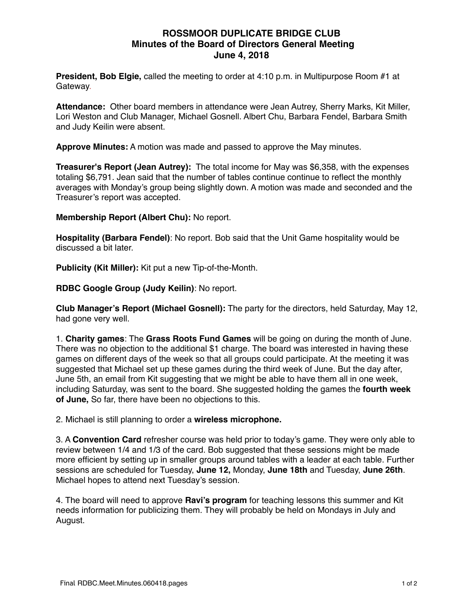## **ROSSMOOR DUPLICATE BRIDGE CLUB Minutes of the Board of Directors General Meeting June 4, 2018**

**President, Bob Elgie,** called the meeting to order at 4:10 p.m. in Multipurpose Room #1 at Gateway.

**Attendance:** Other board members in attendance were Jean Autrey, Sherry Marks, Kit Miller, Lori Weston and Club Manager, Michael Gosnell. Albert Chu, Barbara Fendel, Barbara Smith and Judy Keilin were absent.

**Approve Minutes:** A motion was made and passed to approve the May minutes.

**Treasurer's Report (Jean Autrey):** The total income for May was \$6,358, with the expenses totaling \$6,791. Jean said that the number of tables continue continue to reflect the monthly averages with Monday's group being slightly down. A motion was made and seconded and the Treasurer's report was accepted.

**Membership Report (Albert Chu):** No report.

**Hospitality (Barbara Fendel)**: No report. Bob said that the Unit Game hospitality would be discussed a bit later.

**Publicity (Kit Miller):** Kit put a new Tip-of-the-Month.

**RDBC Google Group (Judy Keilin)**: No report.

**Club Manager's Report (Michael Gosnell):** The party for the directors, held Saturday, May 12, had gone very well.

1. **Charity games**: The **Grass Roots Fund Games** will be going on during the month of June. There was no objection to the additional \$1 charge. The board was interested in having these games on different days of the week so that all groups could participate. At the meeting it was suggested that Michael set up these games during the third week of June. But the day after, June 5th, an email from Kit suggesting that we might be able to have them all in one week, including Saturday, was sent to the board. She suggested holding the games the **fourth week of June,** So far, there have been no objections to this.

2. Michael is still planning to order a **wireless microphone.** 

3. A **Convention Card** refresher course was held prior to today's game. They were only able to review between 1/4 and 1/3 of the card. Bob suggested that these sessions might be made more efficient by setting up in smaller groups around tables with a leader at each table. Further sessions are scheduled for Tuesday, **June 12,** Monday, **June 18th** and Tuesday, **June 26th**. Michael hopes to attend next Tuesday's session.

4. The board will need to approve **Ravi's program** for teaching lessons this summer and Kit needs information for publicizing them. They will probably be held on Mondays in July and August.